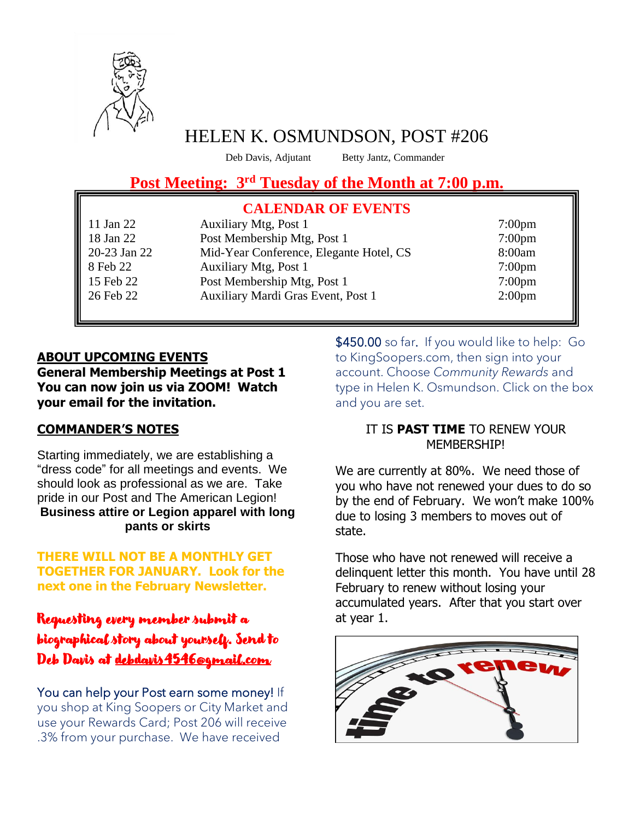

# HELEN K. OSMUNDSON, POST #206

Deb Davis, Adjutant

Betty Jantz, Commander

# **Post Meeting: 3rd Tuesday of the Month at 7:00 p.m.**

#### $\alpha$ l members are invited to a tender. Guest and  $\alpha$ **CALENDAR OF EVENTS**

11 Jan 22 Auxiliary Mtg, Post 1 7:00pm 18 Jan 22 Post Membership Mtg, Post 1 7:00pm 20-23 Jan 22 Mid-Year Conference, Elegante Hotel, CS 8:00am 8 Feb 22 Auxiliary Mtg, Post 1 7:00pm 15 Feb 22 Post Membership Mtg, Post 1 7:00pm 26 Feb 22 Auxiliary Mardi Gras Event, Post 1 2:00pm

#### **ABOUT UPCOMING EVENTS General Membership Meetings at Post 1 You can now join us via ZOOM! Watch your email for the invitation.**

### **COMMANDER'S NOTES**

Starting immediately, we are establishing a "dress code" for all meetings and events. We should look as professional as we are. Take pride in our Post and The American Legion! **Business attire or Legion apparel with long pants or skirts**

**THERE WILL NOT BE A MONTHLY GET TOGETHER FOR JANUARY. Look for the next one in the February Newsletter.**

## Requesting every member submit a biographical story about yourself. Send to Deb Davis at [debdavis4546@gmail.com](mailto:debdavis4546@gmail.com)

You can help your Post earn some money! If you shop at King Soopers or City Market and use your Rewards Card; Post 206 will receive .3% from your purchase. We have received

\$450.00 so far. If you would like to help: Go to KingSoopers.com, then sign into your account. Choose *Community Rewards* and type in Helen K. Osmundson. Click on the box and you are set.

#### IT IS **PAST TIME** TO RENEW YOUR MEMBERSHIP!

We are currently at 80%. We need those of you who have not renewed your dues to do so by the end of February. We won't make 100% due to losing 3 members to moves out of state.

Those who have not renewed will receive a delinquent letter this month. You have until 28 February to renew without losing your accumulated years. After that you start over at year 1.